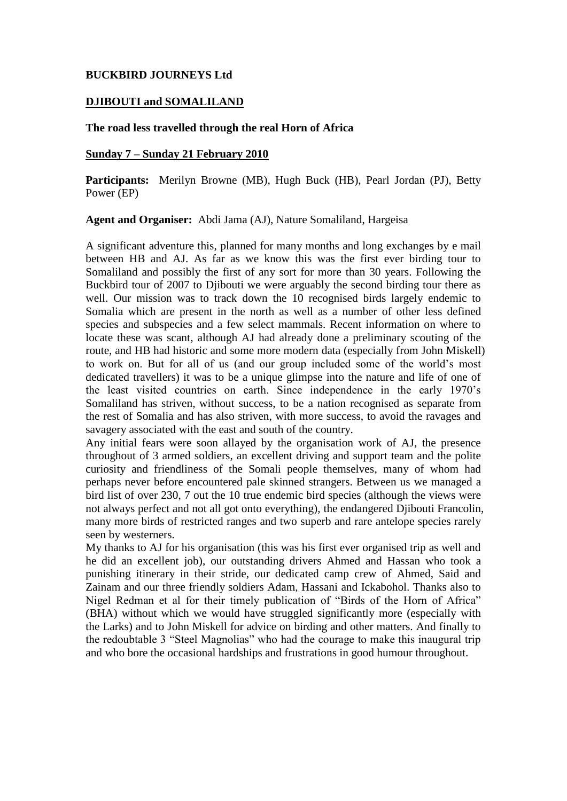### **BUCKBIRD JOURNEYS Ltd**

#### **DJIBOUTI and SOMALILAND**

#### **The road less travelled through the real Horn of Africa**

#### **Sunday 7 – Sunday 21 February 2010**

**Participants:** Merilyn Browne (MB), Hugh Buck (HB), Pearl Jordan (PJ), Betty Power (EP)

**Agent and Organiser:** Abdi Jama (AJ), Nature Somaliland, Hargeisa

A significant adventure this, planned for many months and long exchanges by e mail between HB and AJ. As far as we know this was the first ever birding tour to Somaliland and possibly the first of any sort for more than 30 years. Following the Buckbird tour of 2007 to Djibouti we were arguably the second birding tour there as well. Our mission was to track down the 10 recognised birds largely endemic to Somalia which are present in the north as well as a number of other less defined species and subspecies and a few select mammals. Recent information on where to locate these was scant, although AJ had already done a preliminary scouting of the route, and HB had historic and some more modern data (especially from John Miskell) to work on. But for all of us (and our group included some of the world's most dedicated travellers) it was to be a unique glimpse into the nature and life of one of the least visited countries on earth. Since independence in the early 1970's Somaliland has striven, without success, to be a nation recognised as separate from the rest of Somalia and has also striven, with more success, to avoid the ravages and savagery associated with the east and south of the country.

Any initial fears were soon allayed by the organisation work of AJ, the presence throughout of 3 armed soldiers, an excellent driving and support team and the polite curiosity and friendliness of the Somali people themselves, many of whom had perhaps never before encountered pale skinned strangers. Between us we managed a bird list of over 230, 7 out the 10 true endemic bird species (although the views were not always perfect and not all got onto everything), the endangered Djibouti Francolin, many more birds of restricted ranges and two superb and rare antelope species rarely seen by westerners.

My thanks to AJ for his organisation (this was his first ever organised trip as well and he did an excellent job), our outstanding drivers Ahmed and Hassan who took a punishing itinerary in their stride, our dedicated camp crew of Ahmed, Said and Zainam and our three friendly soldiers Adam, Hassani and Ickabohol. Thanks also to Nigel Redman et al for their timely publication of "Birds of the Horn of Africa" (BHA) without which we would have struggled significantly more (especially with the Larks) and to John Miskell for advice on birding and other matters. And finally to the redoubtable 3 "Steel Magnolias" who had the courage to make this inaugural trip and who bore the occasional hardships and frustrations in good humour throughout.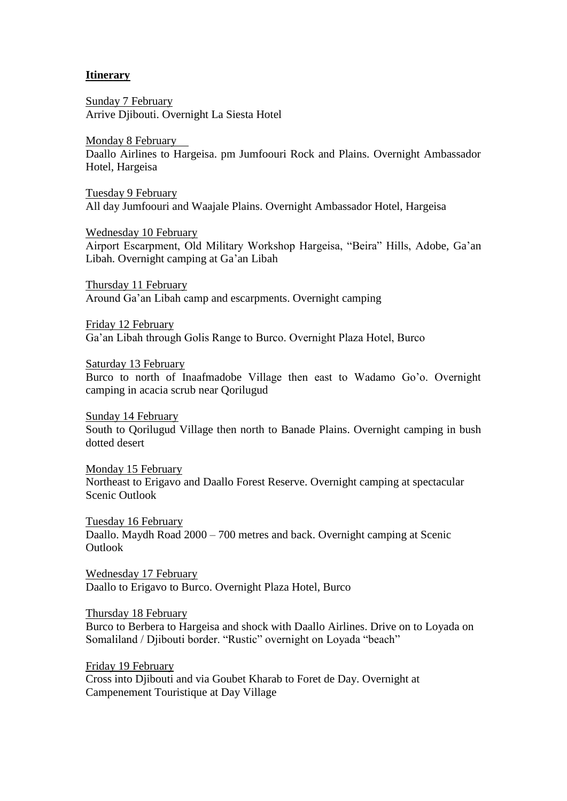### **Itinerary**

Sunday 7 February Arrive Djibouti. Overnight La Siesta Hotel

Monday 8 February Daallo Airlines to Hargeisa. pm Jumfoouri Rock and Plains. Overnight Ambassador Hotel, Hargeisa

Tuesday 9 February All day Jumfoouri and Waajale Plains. Overnight Ambassador Hotel, Hargeisa

Wednesday 10 February

Airport Escarpment, Old Military Workshop Hargeisa, "Beira" Hills, Adobe, Ga'an Libah. Overnight camping at Ga'an Libah

Thursday 11 February Around Ga'an Libah camp and escarpments. Overnight camping

Friday 12 February Ga'an Libah through Golis Range to Burco. Overnight Plaza Hotel, Burco

Saturday 13 February

Burco to north of Inaafmadobe Village then east to Wadamo Go'o. Overnight camping in acacia scrub near Qorilugud

Sunday 14 February South to Qorilugud Village then north to Banade Plains. Overnight camping in bush dotted desert

Monday 15 February Northeast to Erigavo and Daallo Forest Reserve. Overnight camping at spectacular Scenic Outlook

Tuesday 16 February Daallo. Maydh Road 2000 – 700 metres and back. Overnight camping at Scenic Outlook

Wednesday 17 February Daallo to Erigavo to Burco. Overnight Plaza Hotel, Burco

Thursday 18 February

Burco to Berbera to Hargeisa and shock with Daallo Airlines. Drive on to Loyada on Somaliland / Djibouti border. "Rustic" overnight on Loyada "beach"

Friday 19 February Cross into Djibouti and via Goubet Kharab to Foret de Day. Overnight at Campenement Touristique at Day Village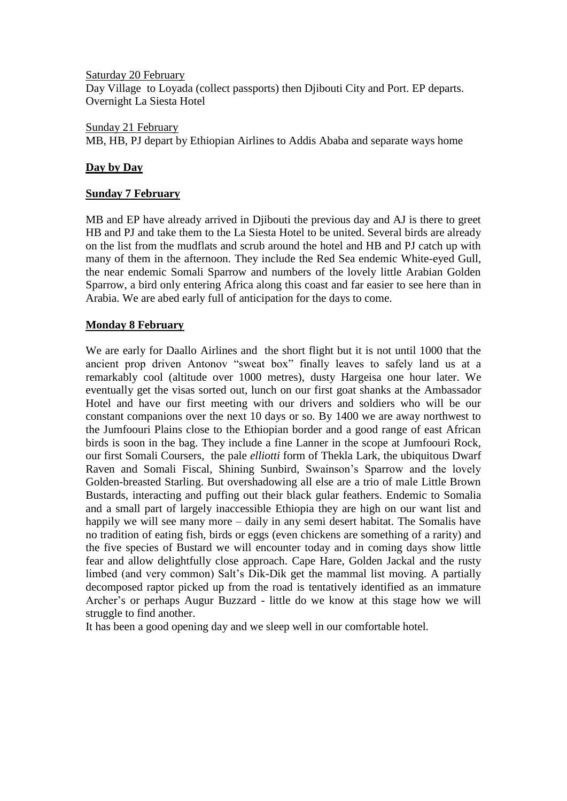Saturday 20 February Day Village to Loyada (collect passports) then Djibouti City and Port. EP departs. Overnight La Siesta Hotel

Sunday 21 February MB, HB, PJ depart by Ethiopian Airlines to Addis Ababa and separate ways home

### **Day by Day**

### **Sunday 7 February**

MB and EP have already arrived in Djibouti the previous day and AJ is there to greet HB and PJ and take them to the La Siesta Hotel to be united. Several birds are already on the list from the mudflats and scrub around the hotel and HB and PJ catch up with many of them in the afternoon. They include the Red Sea endemic White-eyed Gull, the near endemic Somali Sparrow and numbers of the lovely little Arabian Golden Sparrow, a bird only entering Africa along this coast and far easier to see here than in Arabia. We are abed early full of anticipation for the days to come.

### **Monday 8 February**

We are early for Daallo Airlines and the short flight but it is not until 1000 that the ancient prop driven Antonov "sweat box" finally leaves to safely land us at a remarkably cool (altitude over 1000 metres), dusty Hargeisa one hour later. We eventually get the visas sorted out, lunch on our first goat shanks at the Ambassador Hotel and have our first meeting with our drivers and soldiers who will be our constant companions over the next 10 days or so. By 1400 we are away northwest to the Jumfoouri Plains close to the Ethiopian border and a good range of east African birds is soon in the bag. They include a fine Lanner in the scope at Jumfoouri Rock, our first Somali Coursers, the pale *elliotti* form of Thekla Lark, the ubiquitous Dwarf Raven and Somali Fiscal, Shining Sunbird, Swainson's Sparrow and the lovely Golden-breasted Starling. But overshadowing all else are a trio of male Little Brown Bustards, interacting and puffing out their black gular feathers. Endemic to Somalia and a small part of largely inaccessible Ethiopia they are high on our want list and happily we will see many more – daily in any semi desert habitat. The Somalis have no tradition of eating fish, birds or eggs (even chickens are something of a rarity) and the five species of Bustard we will encounter today and in coming days show little fear and allow delightfully close approach. Cape Hare, Golden Jackal and the rusty limbed (and very common) Salt's Dik-Dik get the mammal list moving. A partially decomposed raptor picked up from the road is tentatively identified as an immature Archer's or perhaps Augur Buzzard - little do we know at this stage how we will struggle to find another.

It has been a good opening day and we sleep well in our comfortable hotel.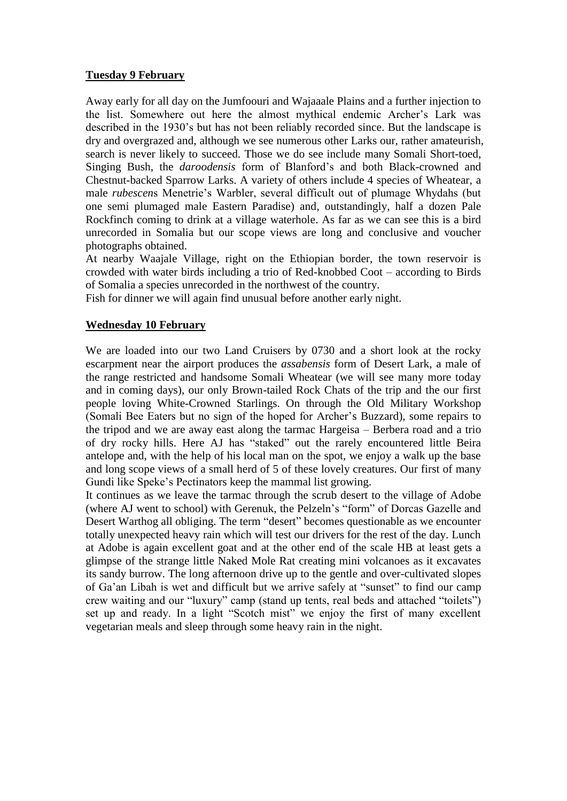### **Tuesday 9 February**

Away early for all day on the Jumfoouri and Wajaaale Plains and a further injection to the list. Somewhere out here the almost mythical endemic Archer's Lark was described in the 1930's but has not been reliably recorded since. But the landscape is dry and overgrazed and, although we see numerous other Larks our, rather amateurish, search is never likely to succeed. Those we do see include many Somali Short-toed, Singing Bush, the *daroodensis* form of Blanford's and both Black-crowned and Chestnut-backed Sparrow Larks. A variety of others include 4 species of Wheatear, a male *rubescen*s Menetrie's Warbler, several difficult out of plumage Whydahs (but one semi plumaged male Eastern Paradise) and, outstandingly, half a dozen Pale Rockfinch coming to drink at a village waterhole. As far as we can see this is a bird unrecorded in Somalia but our scope views are long and conclusive and voucher photographs obtained.

At nearby Waajale Village, right on the Ethiopian border, the town reservoir is crowded with water birds including a trio of Red-knobbed Coot – according to Birds of Somalia a species unrecorded in the northwest of the country.

Fish for dinner we will again find unusual before another early night.

### **Wednesday 10 February**

We are loaded into our two Land Cruisers by 0730 and a short look at the rocky escarpment near the airport produces the *assabensis* form of Desert Lark, a male of the range restricted and handsome Somali Wheatear (we will see many more today and in coming days), our only Brown-tailed Rock Chats of the trip and the our first people loving White-Crowned Starlings. On through the Old Military Workshop (Somali Bee Eaters but no sign of the hoped for Archer's Buzzard), some repairs to the tripod and we are away east along the tarmac Hargeisa – Berbera road and a trio of dry rocky hills. Here AJ has "staked" out the rarely encountered little Beira antelope and, with the help of his local man on the spot, we enjoy a walk up the base and long scope views of a small herd of 5 of these lovely creatures. Our first of many Gundi like Speke's Pectinators keep the mammal list growing.

It continues as we leave the tarmac through the scrub desert to the village of Adobe (where AJ went to school) with Gerenuk, the Pelzeln's "form" of Dorcas Gazelle and Desert Warthog all obliging. The term "desert" becomes questionable as we encounter totally unexpected heavy rain which will test our drivers for the rest of the day. Lunch at Adobe is again excellent goat and at the other end of the scale HB at least gets a glimpse of the strange little Naked Mole Rat creating mini volcanoes as it excavates its sandy burrow. The long afternoon drive up to the gentle and over-cultivated slopes of Ga'an Libah is wet and difficult but we arrive safely at "sunset" to find our camp crew waiting and our "luxury" camp (stand up tents, real beds and attached "toilets") set up and ready. In a light "Scotch mist" we enjoy the first of many excellent vegetarian meals and sleep through some heavy rain in the night.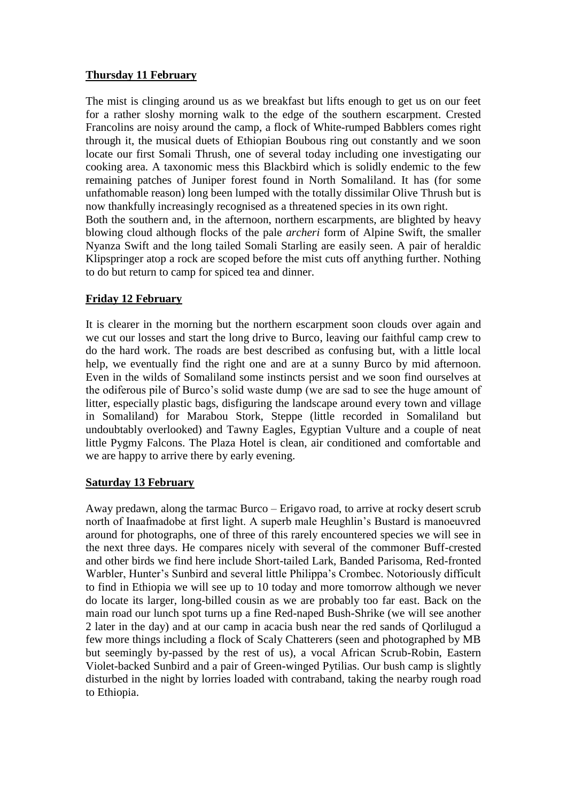### **Thursday 11 February**

The mist is clinging around us as we breakfast but lifts enough to get us on our feet for a rather sloshy morning walk to the edge of the southern escarpment. Crested Francolins are noisy around the camp, a flock of White-rumped Babblers comes right through it, the musical duets of Ethiopian Boubous ring out constantly and we soon locate our first Somali Thrush, one of several today including one investigating our cooking area. A taxonomic mess this Blackbird which is solidly endemic to the few remaining patches of Juniper forest found in North Somaliland. It has (for some unfathomable reason) long been lumped with the totally dissimilar Olive Thrush but is now thankfully increasingly recognised as a threatened species in its own right. Both the southern and, in the afternoon, northern escarpments, are blighted by heavy blowing cloud although flocks of the pale *archeri* form of Alpine Swift, the smaller Nyanza Swift and the long tailed Somali Starling are easily seen. A pair of heraldic Klipspringer atop a rock are scoped before the mist cuts off anything further. Nothing to do but return to camp for spiced tea and dinner.

## **Friday 12 February**

It is clearer in the morning but the northern escarpment soon clouds over again and we cut our losses and start the long drive to Burco, leaving our faithful camp crew to do the hard work. The roads are best described as confusing but, with a little local help, we eventually find the right one and are at a sunny Burco by mid afternoon. Even in the wilds of Somaliland some instincts persist and we soon find ourselves at the odiferous pile of Burco's solid waste dump (we are sad to see the huge amount of litter, especially plastic bags, disfiguring the landscape around every town and village in Somaliland) for Marabou Stork, Steppe (little recorded in Somaliland but undoubtably overlooked) and Tawny Eagles, Egyptian Vulture and a couple of neat little Pygmy Falcons. The Plaza Hotel is clean, air conditioned and comfortable and we are happy to arrive there by early evening.

## **Saturday 13 February**

Away predawn, along the tarmac Burco – Erigavo road, to arrive at rocky desert scrub north of Inaafmadobe at first light. A superb male Heughlin's Bustard is manoeuvred around for photographs, one of three of this rarely encountered species we will see in the next three days. He compares nicely with several of the commoner Buff-crested and other birds we find here include Short-tailed Lark, Banded Parisoma, Red-fronted Warbler, Hunter's Sunbird and several little Philippa's Crombec. Notoriously difficult to find in Ethiopia we will see up to 10 today and more tomorrow although we never do locate its larger, long-billed cousin as we are probably too far east. Back on the main road our lunch spot turns up a fine Red-naped Bush-Shrike (we will see another 2 later in the day) and at our camp in acacia bush near the red sands of Qorlilugud a few more things including a flock of Scaly Chatterers (seen and photographed by MB but seemingly by-passed by the rest of us), a vocal African Scrub-Robin, Eastern Violet-backed Sunbird and a pair of Green-winged Pytilias. Our bush camp is slightly disturbed in the night by lorries loaded with contraband, taking the nearby rough road to Ethiopia.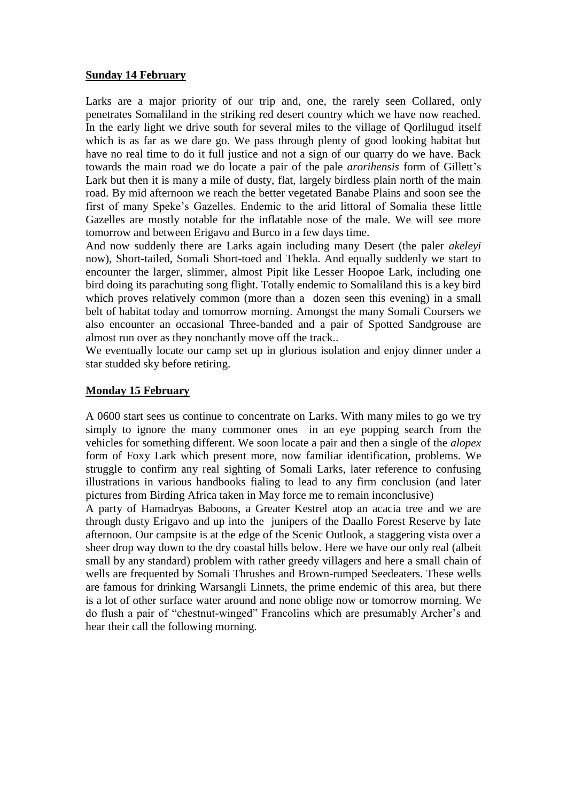#### **Sunday 14 February**

Larks are a major priority of our trip and, one, the rarely seen Collared, only penetrates Somaliland in the striking red desert country which we have now reached. In the early light we drive south for several miles to the village of Qorlilugud itself which is as far as we dare go. We pass through plenty of good looking habitat but have no real time to do it full justice and not a sign of our quarry do we have. Back towards the main road we do locate a pair of the pale *arorihensis* form of Gillett's Lark but then it is many a mile of dusty, flat, largely birdless plain north of the main road. By mid afternoon we reach the better vegetated Banabe Plains and soon see the first of many Speke's Gazelles. Endemic to the arid littoral of Somalia these little Gazelles are mostly notable for the inflatable nose of the male. We will see more tomorrow and between Erigavo and Burco in a few days time.

And now suddenly there are Larks again including many Desert (the paler *akeleyi*  now), Short-tailed, Somali Short-toed and Thekla. And equally suddenly we start to encounter the larger, slimmer, almost Pipit like Lesser Hoopoe Lark, including one bird doing its parachuting song flight. Totally endemic to Somaliland this is a key bird which proves relatively common (more than a dozen seen this evening) in a small belt of habitat today and tomorrow morning. Amongst the many Somali Coursers we also encounter an occasional Three-banded and a pair of Spotted Sandgrouse are almost run over as they nonchantly move off the track..

We eventually locate our camp set up in glorious isolation and enjoy dinner under a star studded sky before retiring.

#### **Monday 15 February**

A 0600 start sees us continue to concentrate on Larks. With many miles to go we try simply to ignore the many commoner ones in an eye popping search from the vehicles for something different. We soon locate a pair and then a single of the *alopex* form of Foxy Lark which present more, now familiar identification, problems. We struggle to confirm any real sighting of Somali Larks, later reference to confusing illustrations in various handbooks fialing to lead to any firm conclusion (and later pictures from Birding Africa taken in May force me to remain inconclusive)

A party of Hamadryas Baboons, a Greater Kestrel atop an acacia tree and we are through dusty Erigavo and up into the junipers of the Daallo Forest Reserve by late afternoon. Our campsite is at the edge of the Scenic Outlook, a staggering vista over a sheer drop way down to the dry coastal hills below. Here we have our only real (albeit small by any standard) problem with rather greedy villagers and here a small chain of wells are frequented by Somali Thrushes and Brown-rumped Seedeaters. These wells are famous for drinking Warsangli Linnets, the prime endemic of this area, but there is a lot of other surface water around and none oblige now or tomorrow morning. We do flush a pair of "chestnut-winged" Francolins which are presumably Archer's and hear their call the following morning.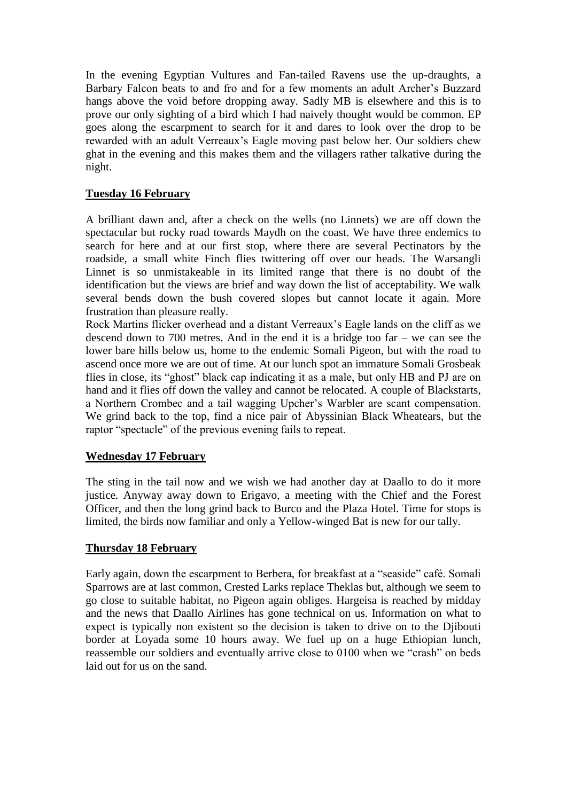In the evening Egyptian Vultures and Fan-tailed Ravens use the up-draughts, a Barbary Falcon beats to and fro and for a few moments an adult Archer's Buzzard hangs above the void before dropping away. Sadly MB is elsewhere and this is to prove our only sighting of a bird which I had naively thought would be common. EP goes along the escarpment to search for it and dares to look over the drop to be rewarded with an adult Verreaux's Eagle moving past below her. Our soldiers chew ghat in the evening and this makes them and the villagers rather talkative during the night.

## **Tuesday 16 February**

A brilliant dawn and, after a check on the wells (no Linnets) we are off down the spectacular but rocky road towards Maydh on the coast. We have three endemics to search for here and at our first stop, where there are several Pectinators by the roadside, a small white Finch flies twittering off over our heads. The Warsangli Linnet is so unmistakeable in its limited range that there is no doubt of the identification but the views are brief and way down the list of acceptability. We walk several bends down the bush covered slopes but cannot locate it again. More frustration than pleasure really.

Rock Martins flicker overhead and a distant Verreaux's Eagle lands on the cliff as we descend down to 700 metres. And in the end it is a bridge too far – we can see the lower bare hills below us, home to the endemic Somali Pigeon, but with the road to ascend once more we are out of time. At our lunch spot an immature Somali Grosbeak flies in close, its "ghost" black cap indicating it as a male, but only HB and PJ are on hand and it flies off down the valley and cannot be relocated. A couple of Blackstarts, a Northern Crombec and a tail wagging Upcher's Warbler are scant compensation. We grind back to the top, find a nice pair of Abyssinian Black Wheatears, but the raptor "spectacle" of the previous evening fails to repeat.

### **Wednesday 17 February**

The sting in the tail now and we wish we had another day at Daallo to do it more justice. Anyway away down to Erigavo, a meeting with the Chief and the Forest Officer, and then the long grind back to Burco and the Plaza Hotel. Time for stops is limited, the birds now familiar and only a Yellow-winged Bat is new for our tally.

### **Thursday 18 February**

Early again, down the escarpment to Berbera, for breakfast at a "seaside" café. Somali Sparrows are at last common, Crested Larks replace Theklas but, although we seem to go close to suitable habitat, no Pigeon again obliges. Hargeisa is reached by midday and the news that Daallo Airlines has gone technical on us. Information on what to expect is typically non existent so the decision is taken to drive on to the Djibouti border at Loyada some 10 hours away. We fuel up on a huge Ethiopian lunch, reassemble our soldiers and eventually arrive close to 0100 when we "crash" on beds laid out for us on the sand.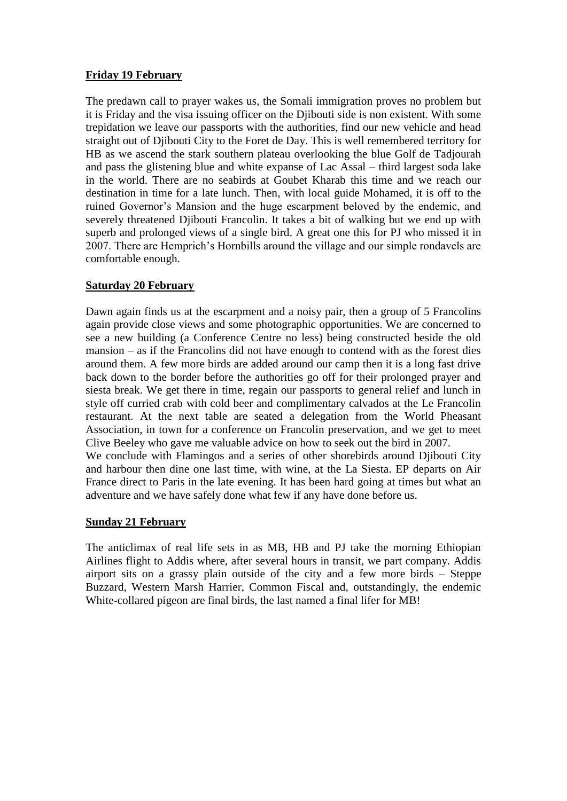### **Friday 19 February**

The predawn call to prayer wakes us, the Somali immigration proves no problem but it is Friday and the visa issuing officer on the Djibouti side is non existent. With some trepidation we leave our passports with the authorities, find our new vehicle and head straight out of Djibouti City to the Foret de Day. This is well remembered territory for HB as we ascend the stark southern plateau overlooking the blue Golf de Tadjourah and pass the glistening blue and white expanse of Lac Assal – third largest soda lake in the world. There are no seabirds at Goubet Kharab this time and we reach our destination in time for a late lunch. Then, with local guide Mohamed, it is off to the ruined Governor's Mansion and the huge escarpment beloved by the endemic, and severely threatened Djibouti Francolin. It takes a bit of walking but we end up with superb and prolonged views of a single bird. A great one this for PJ who missed it in 2007. There are Hemprich's Hornbills around the village and our simple rondavels are comfortable enough.

### **Saturday 20 February**

Dawn again finds us at the escarpment and a noisy pair, then a group of 5 Francolins again provide close views and some photographic opportunities. We are concerned to see a new building (a Conference Centre no less) being constructed beside the old mansion – as if the Francolins did not have enough to contend with as the forest dies around them. A few more birds are added around our camp then it is a long fast drive back down to the border before the authorities go off for their prolonged prayer and siesta break. We get there in time, regain our passports to general relief and lunch in style off curried crab with cold beer and complimentary calvados at the Le Francolin restaurant. At the next table are seated a delegation from the World Pheasant Association, in town for a conference on Francolin preservation, and we get to meet Clive Beeley who gave me valuable advice on how to seek out the bird in 2007. We conclude with Flamingos and a series of other shorebirds around Djibouti City

and harbour then dine one last time, with wine, at the La Siesta. EP departs on Air France direct to Paris in the late evening. It has been hard going at times but what an adventure and we have safely done what few if any have done before us.

### **Sunday 21 February**

The anticlimax of real life sets in as MB, HB and PJ take the morning Ethiopian Airlines flight to Addis where, after several hours in transit, we part company. Addis airport sits on a grassy plain outside of the city and a few more birds – Steppe Buzzard, Western Marsh Harrier, Common Fiscal and, outstandingly, the endemic White-collared pigeon are final birds, the last named a final lifer for MB!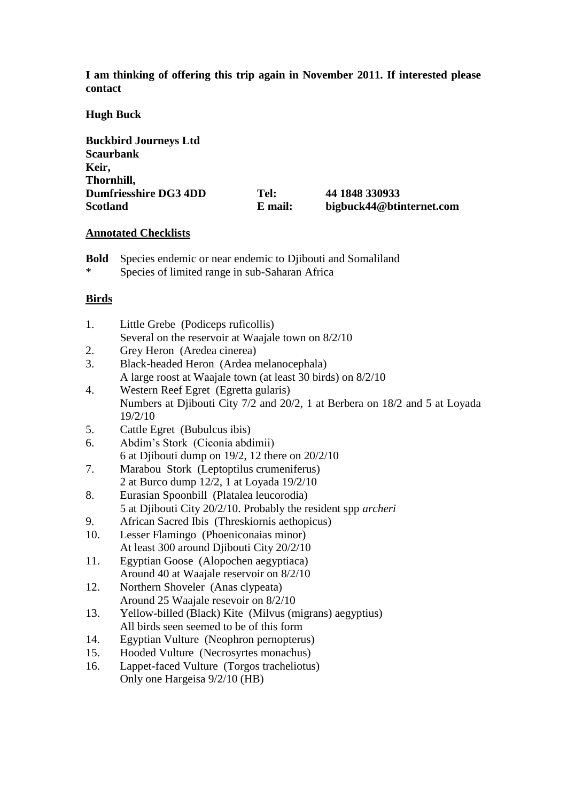**I am thinking of offering this trip again in November 2011. If interested please contact**

#### **Hugh Buck**

| <b>Buckbird Journeys Ltd</b> |         |                          |
|------------------------------|---------|--------------------------|
| <b>Scaurbank</b>             |         |                          |
| Keir,                        |         |                          |
| Thornhill,                   |         |                          |
| <b>Dumfriesshire DG3 4DD</b> | Tel:    | 44 1848 330933           |
| <b>Scotland</b>              | E mail: | bigbuck44@btinternet.com |

#### **Annotated Checklists**

- **Bold** Species endemic or near endemic to Djibouti and Somaliland
- Species of limited range in sub-Saharan Africa

### **Birds**

| 1. | Little Grebe (Podiceps ruficollis)                   |
|----|------------------------------------------------------|
|    | Several on the reservoir at Waajale town on $8/2/10$ |
| 2. | Grey Heron (Aredea cinerea)                          |

- 3. Black-headed Heron (Ardea melanocephala) A large roost at Waajale town (at least 30 birds) on 8/2/10
- 4. Western Reef Egret (Egretta gularis) Numbers at Djibouti City 7/2 and 20/2, 1 at Berbera on 18/2 and 5 at Loyada 19/2/10
- 5. Cattle Egret (Bubulcus ibis)
- 6. Abdim's Stork (Ciconia abdimii) 6 at Djibouti dump on 19/2, 12 there on 20/2/10
- 7. Marabou Stork (Leptoptilus crumeniferus) 2 at Burco dump 12/2, 1 at Loyada 19/2/10
- 8. Eurasian Spoonbill (Platalea leucorodia) 5 at Djibouti City 20/2/10. Probably the resident spp *archeri*
- 9. African Sacred Ibis (Threskiornis aethopicus)
- 10. Lesser Flamingo (Phoeniconaias minor) At least 300 around Djibouti City 20/2/10
- 11. Egyptian Goose (Alopochen aegyptiaca) Around 40 at Waajale reservoir on 8/2/10
- 12. Northern Shoveler (Anas clypeata) Around 25 Waajale resevoir on 8/2/10
- 13. Yellow-billed (Black) Kite (Milvus (migrans) aegyptius) All birds seen seemed to be of this form
- 14. Egyptian Vulture (Neophron pernopterus)
- 15. Hooded Vulture (Necrosyrtes monachus)
- 16. Lappet-faced Vulture (Torgos tracheliotus) Only one Hargeisa 9/2/10 (HB)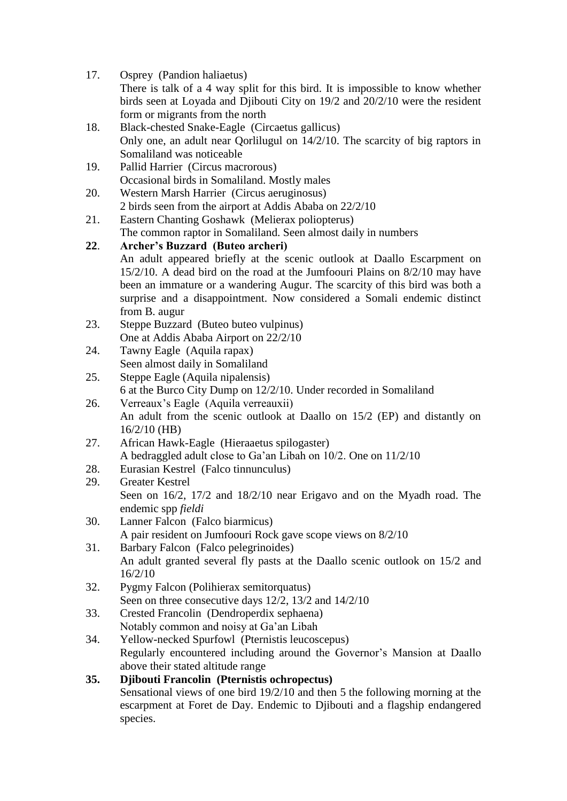- 17. Osprey (Pandion haliaetus) There is talk of a 4 way split for this bird. It is impossible to know whether birds seen at Loyada and Djibouti City on 19/2 and 20/2/10 were the resident form or migrants from the north
- 18. Black-chested Snake-Eagle (Circaetus gallicus) Only one, an adult near Qorlilugul on 14/2/10. The scarcity of big raptors in Somaliland was noticeable
- 19. Pallid Harrier (Circus macrorous) Occasional birds in Somaliland. Mostly males 20. Western Marsh Harrier (Circus aeruginosus)
- 2 birds seen from the airport at Addis Ababa on 22/2/10
- 21. Eastern Chanting Goshawk (Melierax poliopterus) The common raptor in Somaliland. Seen almost daily in numbers
- **22**. **Archer's Buzzard (Buteo archeri)** An adult appeared briefly at the scenic outlook at Daallo Escarpment on 15/2/10. A dead bird on the road at the Jumfoouri Plains on 8/2/10 may have been an immature or a wandering Augur. The scarcity of this bird was both a surprise and a disappointment. Now considered a Somali endemic distinct from B. augur
- 23. Steppe Buzzard (Buteo buteo vulpinus) One at Addis Ababa Airport on 22/2/10
- 24. Tawny Eagle (Aquila rapax) Seen almost daily in Somaliland
- 25. Steppe Eagle (Aquila nipalensis) 6 at the Burco City Dump on 12/2/10. Under recorded in Somaliland
- 26. Verreaux's Eagle (Aquila verreauxii) An adult from the scenic outlook at Daallo on 15/2 (EP) and distantly on 16/2/10 (HB)
- 27. African Hawk-Eagle (Hieraaetus spilogaster) A bedraggled adult close to Ga'an Libah on 10/2. One on 11/2/10
- 28. Eurasian Kestrel (Falco tinnunculus)
- 29. Greater Kestrel Seen on 16/2, 17/2 and 18/2/10 near Erigavo and on the Myadh road. The endemic spp *fieldi*
- 30. Lanner Falcon (Falco biarmicus) A pair resident on Jumfoouri Rock gave scope views on 8/2/10
- 31. Barbary Falcon (Falco pelegrinoides) An adult granted several fly pasts at the Daallo scenic outlook on 15/2 and 16/2/10
- 32. Pygmy Falcon (Polihierax semitorquatus) Seen on three consecutive days 12/2, 13/2 and 14/2/10
- 33. Crested Francolin (Dendroperdix sephaena) Notably common and noisy at Ga'an Libah
- 34. Yellow-necked Spurfowl (Pternistis leucoscepus) Regularly encountered including around the Governor's Mansion at Daallo above their stated altitude range

### **35. Djibouti Francolin (Pternistis ochropectus)** Sensational views of one bird 19/2/10 and then 5 the following morning at the escarpment at Foret de Day. Endemic to Djibouti and a flagship endangered species.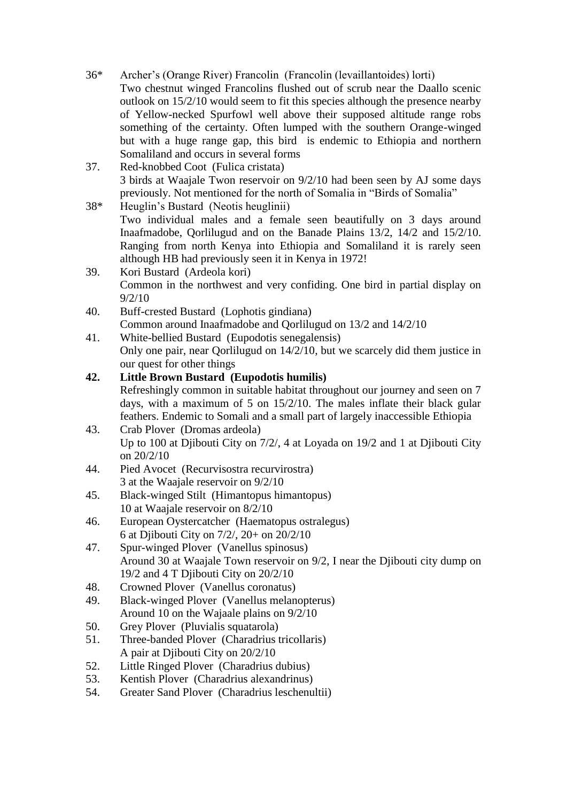- 36\* Archer's (Orange River) Francolin (Francolin (levaillantoides) lorti) Two chestnut winged Francolins flushed out of scrub near the Daallo scenic outlook on 15/2/10 would seem to fit this species although the presence nearby of Yellow-necked Spurfowl well above their supposed altitude range robs something of the certainty. Often lumped with the southern Orange-winged but with a huge range gap, this bird is endemic to Ethiopia and northern Somaliland and occurs in several forms
- 37. Red-knobbed Coot (Fulica cristata) 3 birds at Waajale Twon reservoir on 9/2/10 had been seen by AJ some days previously. Not mentioned for the north of Somalia in "Birds of Somalia"
- 38\* Heuglin's Bustard (Neotis heuglinii) Two individual males and a female seen beautifully on 3 days around Inaafmadobe, Qorlilugud and on the Banade Plains 13/2, 14/2 and 15/2/10. Ranging from north Kenya into Ethiopia and Somaliland it is rarely seen although HB had previously seen it in Kenya in 1972!
- 39. Kori Bustard (Ardeola kori) Common in the northwest and very confiding. One bird in partial display on 9/2/10
- 40. Buff-crested Bustard (Lophotis gindiana) Common around Inaafmadobe and Qorlilugud on 13/2 and 14/2/10
- 41. White-bellied Bustard (Eupodotis senegalensis) Only one pair, near Qorlilugud on 14/2/10, but we scarcely did them justice in our quest for other things

# **42. Little Brown Bustard (Eupodotis humilis)**

Refreshingly common in suitable habitat throughout our journey and seen on 7 days, with a maximum of 5 on 15/2/10. The males inflate their black gular feathers. Endemic to Somali and a small part of largely inaccessible Ethiopia

- 43. Crab Plover (Dromas ardeola) Up to 100 at Djibouti City on  $7/2$ , 4 at Loyada on 19/2 and 1 at Djibouti City on 20/2/10
- 44. Pied Avocet (Recurvisostra recurvirostra) 3 at the Waajale reservoir on 9/2/10
- 45. Black-winged Stilt (Himantopus himantopus) 10 at Waajale reservoir on 8/2/10
- 46. European Oystercatcher (Haematopus ostralegus) 6 at Djibouti City on 7/2/, 20+ on 20/2/10
- 47. Spur-winged Plover (Vanellus spinosus) Around 30 at Waajale Town reservoir on 9/2, I near the Djibouti city dump on 19/2 and 4 T Djibouti City on 20/2/10
- 48. Crowned Plover (Vanellus coronatus)
- 49. Black-winged Plover (Vanellus melanopterus) Around 10 on the Wajaale plains on 9/2/10
- 50. Grey Plover (Pluvialis squatarola)
- 51. Three-banded Plover (Charadrius tricollaris) A pair at Djibouti City on 20/2/10
- 52. Little Ringed Plover (Charadrius dubius)
- 53. Kentish Plover (Charadrius alexandrinus)
- 54. Greater Sand Plover (Charadrius leschenultii)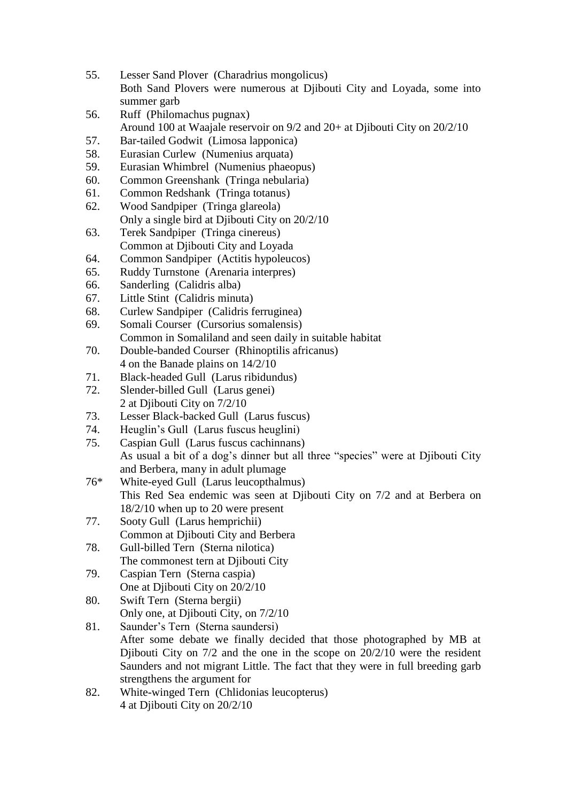- 55. Lesser Sand Plover (Charadrius mongolicus) Both Sand Plovers were numerous at Djibouti City and Loyada, some into summer garb
- 56. Ruff (Philomachus pugnax) Around 100 at Waajale reservoir on 9/2 and 20+ at Djibouti City on 20/2/10
- 57. Bar-tailed Godwit (Limosa lapponica)
- 58. Eurasian Curlew (Numenius arquata)
- 59. Eurasian Whimbrel (Numenius phaeopus)
- 60. Common Greenshank (Tringa nebularia)
- 61. Common Redshank (Tringa totanus)
- 62. Wood Sandpiper (Tringa glareola) Only a single bird at Djibouti City on 20/2/10
- 63. Terek Sandpiper (Tringa cinereus) Common at Djibouti City and Loyada
- 64. Common Sandpiper (Actitis hypoleucos)
- 65. Ruddy Turnstone (Arenaria interpres)
- 66. Sanderling (Calidris alba)
- 67. Little Stint (Calidris minuta)
- 68. Curlew Sandpiper (Calidris ferruginea)
- 69. Somali Courser (Cursorius somalensis) Common in Somaliland and seen daily in suitable habitat
- 70. Double-banded Courser (Rhinoptilis africanus) 4 on the Banade plains on 14/2/10
- 71. Black-headed Gull (Larus ribidundus)
- 72. Slender-billed Gull (Larus genei) 2 at Djibouti City on 7/2/10
- 73. Lesser Black-backed Gull (Larus fuscus)
- 74. Heuglin's Gull (Larus fuscus heuglini)
- 75. Caspian Gull (Larus fuscus cachinnans) As usual a bit of a dog's dinner but all three "species" were at Djibouti City and Berbera, many in adult plumage
- 76\* White-eyed Gull (Larus leucopthalmus) This Red Sea endemic was seen at Djibouti City on 7/2 and at Berbera on 18/2/10 when up to 20 were present
- 77. Sooty Gull (Larus hemprichii) Common at Djibouti City and Berbera
- 78. Gull-billed Tern (Sterna nilotica) The commonest tern at Diibouti City
- 79. Caspian Tern (Sterna caspia) One at Djibouti City on 20/2/10
- 80. Swift Tern (Sterna bergii) Only one, at Diibouti City, on  $7/2/10$
- 81. Saunder's Tern (Sterna saundersi) After some debate we finally decided that those photographed by MB at Diibouti City on  $7/2$  and the one in the scope on  $20/2/10$  were the resident Saunders and not migrant Little. The fact that they were in full breeding garb strengthens the argument for
- 82. White-winged Tern (Chlidonias leucopterus) 4 at Djibouti City on 20/2/10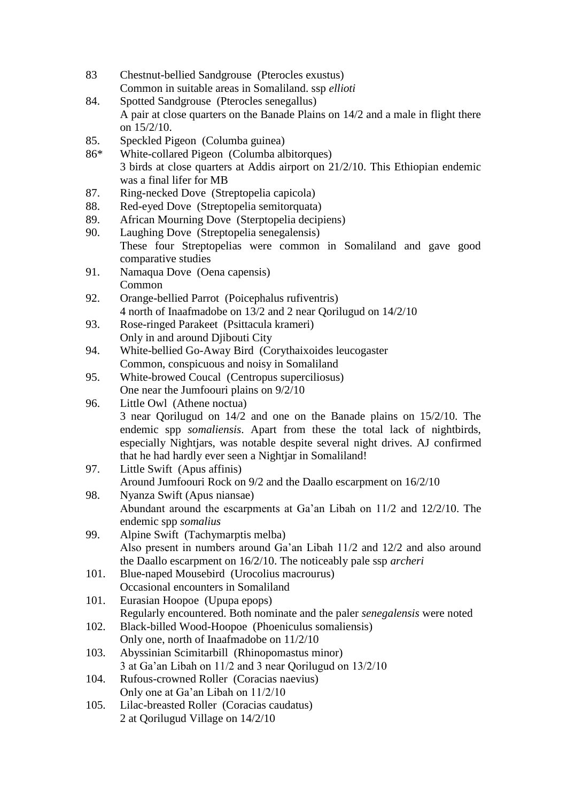- 83 Chestnut-bellied Sandgrouse (Pterocles exustus) Common in suitable areas in Somaliland. ssp *ellioti*
- 84. Spotted Sandgrouse (Pterocles senegallus) A pair at close quarters on the Banade Plains on 14/2 and a male in flight there on 15/2/10.
- 85. Speckled Pigeon (Columba guinea)
- 86\* White-collared Pigeon (Columba albitorques) 3 birds at close quarters at Addis airport on 21/2/10. This Ethiopian endemic was a final lifer for MB
- 87. Ring-necked Dove (Streptopelia capicola)
- 88. Red-eyed Dove (Streptopelia semitorquata)
- 89. African Mourning Dove (Sterptopelia decipiens)
- 90. Laughing Dove (Streptopelia senegalensis) These four Streptopelias were common in Somaliland and gave good comparative studies
- 91. Namaqua Dove (Oena capensis) Common
- 92. Orange-bellied Parrot (Poicephalus rufiventris) 4 north of Inaafmadobe on 13/2 and 2 near Qorilugud on 14/2/10
- 93. Rose-ringed Parakeet (Psittacula krameri) Only in and around Djibouti City
- 94. White-bellied Go-Away Bird (Corythaixoides leucogaster Common, conspicuous and noisy in Somaliland
- 95. White-browed Coucal (Centropus superciliosus) One near the Jumfoouri plains on 9/2/10
- 96. Little Owl (Athene noctua) 3 near Qorilugud on 14/2 and one on the Banade plains on 15/2/10. The endemic spp *somaliensis*. Apart from these the total lack of nightbirds, especially Nightjars, was notable despite several night drives. AJ confirmed that he had hardly ever seen a Nightjar in Somaliland!
- 97. Little Swift (Apus affinis) Around Jumfoouri Rock on 9/2 and the Daallo escarpment on 16/2/10
- 98. Nyanza Swift (Apus niansae) Abundant around the escarpments at Ga'an Libah on 11/2 and 12/2/10. The endemic spp *somalius*
- 99. Alpine Swift (Tachymarptis melba) Also present in numbers around Ga'an Libah 11/2 and 12/2 and also around the Daallo escarpment on 16/2/10. The noticeably pale ssp *archeri*
- 101. Blue-naped Mousebird (Urocolius macrourus) Occasional encounters in Somaliland
- 101. Eurasian Hoopoe (Upupa epops) Regularly encountered. Both nominate and the paler *senegalensis* were noted
- 102. Black-billed Wood-Hoopoe (Phoeniculus somaliensis) Only one, north of Inaafmadobe on 11/2/10
- 103. Abyssinian Scimitarbill (Rhinopomastus minor) 3 at Ga'an Libah on 11/2 and 3 near Qorilugud on 13/2/10
- 104. Rufous-crowned Roller (Coracias naevius) Only one at Ga'an Libah on 11/2/10
- 105. Lilac-breasted Roller (Coracias caudatus) 2 at Qorilugud Village on 14/2/10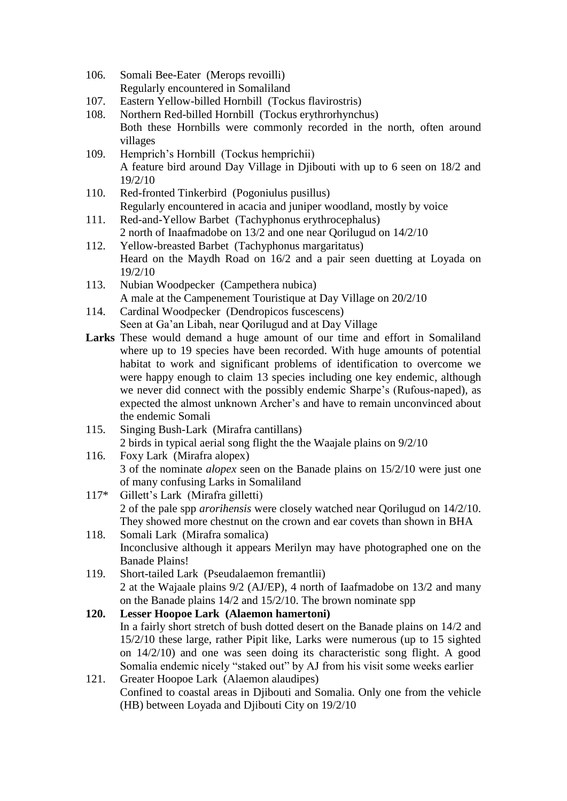- 106. Somali Bee-Eater (Merops revoilli) Regularly encountered in Somaliland
- 107. Eastern Yellow-billed Hornbill (Tockus flavirostris)
- 108. Northern Red-billed Hornbill (Tockus erythrorhynchus) Both these Hornbills were commonly recorded in the north, often around villages
- 109. Hemprich's Hornbill (Tockus hemprichii) A feature bird around Day Village in Djibouti with up to 6 seen on 18/2 and 19/2/10
- 110. Red-fronted Tinkerbird (Pogoniulus pusillus) Regularly encountered in acacia and juniper woodland, mostly by voice
- 111. Red-and-Yellow Barbet (Tachyphonus erythrocephalus) 2 north of Inaafmadobe on 13/2 and one near Qorilugud on 14/2/10
- 112. Yellow-breasted Barbet (Tachyphonus margaritatus) Heard on the Maydh Road on 16/2 and a pair seen duetting at Loyada on 19/2/10
- 113. Nubian Woodpecker (Campethera nubica) A male at the Campenement Touristique at Day Village on 20/2/10
- 114. Cardinal Woodpecker (Dendropicos fuscescens) Seen at Ga'an Libah, near Qorilugud and at Day Village
- **Larks** These would demand a huge amount of our time and effort in Somaliland where up to 19 species have been recorded. With huge amounts of potential habitat to work and significant problems of identification to overcome we were happy enough to claim 13 species including one key endemic, although we never did connect with the possibly endemic Sharpe's (Rufous-naped), as expected the almost unknown Archer's and have to remain unconvinced about the endemic Somali
- 115. Singing Bush-Lark (Mirafra cantillans) 2 birds in typical aerial song flight the the Waajale plains on 9/2/10
- 116. Foxy Lark (Mirafra alopex) 3 of the nominate *alopex* seen on the Banade plains on 15/2/10 were just one of many confusing Larks in Somaliland
- 117\* Gillett's Lark (Mirafra gilletti) 2 of the pale spp *arorihensis* were closely watched near Qorilugud on 14/2/10. They showed more chestnut on the crown and ear covets than shown in BHA
- 118. Somali Lark (Mirafra somalica) Inconclusive although it appears Merilyn may have photographed one on the Banade Plains!
- 119. Short-tailed Lark (Pseudalaemon fremantlii) 2 at the Wajaale plains 9/2 (AJ/EP), 4 north of Iaafmadobe on 13/2 and many on the Banade plains 14/2 and 15/2/10. The brown nominate spp

# **120. Lesser Hoopoe Lark (Alaemon hamertoni)** In a fairly short stretch of bush dotted desert on the Banade plains on 14/2 and 15/2/10 these large, rather Pipit like, Larks were numerous (up to 15 sighted on 14/2/10) and one was seen doing its characteristic song flight. A good Somalia endemic nicely "staked out" by AJ from his visit some weeks earlier

121. Greater Hoopoe Lark (Alaemon alaudipes) Confined to coastal areas in Djibouti and Somalia. Only one from the vehicle (HB) between Loyada and Djibouti City on 19/2/10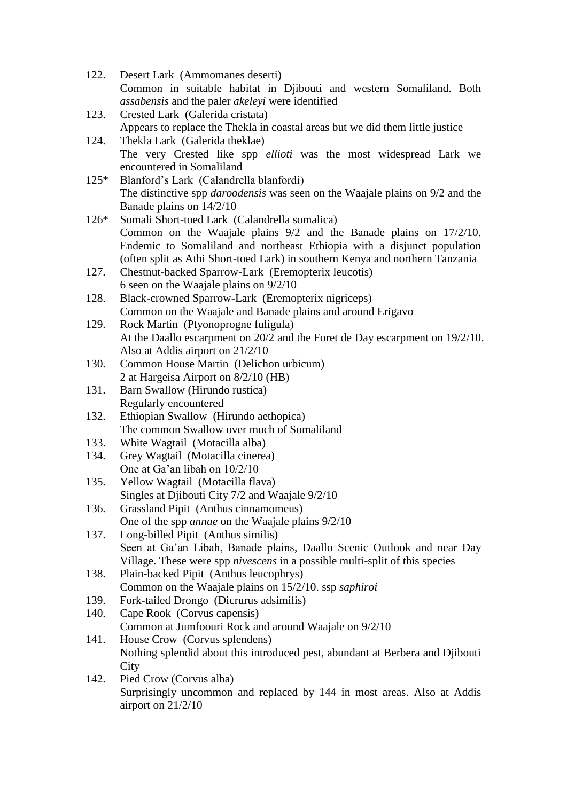122. Desert Lark (Ammomanes deserti) Common in suitable habitat in Djibouti and western Somaliland. Both *assabensis* and the paler *akeleyi* were identified 123. Crested Lark (Galerida cristata) Appears to replace the Thekla in coastal areas but we did them little justice 124. Thekla Lark (Galerida theklae) The very Crested like spp *ellioti* was the most widespread Lark we encountered in Somaliland 125\* Blanford's Lark (Calandrella blanfordi) The distinctive spp *daroodensis* was seen on the Waajale plains on 9/2 and the Banade plains on 14/2/10 126\* Somali Short-toed Lark (Calandrella somalica) Common on the Waajale plains 9/2 and the Banade plains on 17/2/10. Endemic to Somaliland and northeast Ethiopia with a disjunct population (often split as Athi Short-toed Lark) in southern Kenya and northern Tanzania 127. Chestnut-backed Sparrow-Lark (Eremopterix leucotis) 6 seen on the Waajale plains on 9/2/10 128. Black-crowned Sparrow-Lark (Eremopterix nigriceps) Common on the Waajale and Banade plains and around Erigavo 129. Rock Martin (Ptyonoprogne fuligula) At the Daallo escarpment on 20/2 and the Foret de Day escarpment on 19/2/10. Also at Addis airport on 21/2/10 130. Common House Martin (Delichon urbicum) 2 at Hargeisa Airport on 8/2/10 (HB) 131. Barn Swallow (Hirundo rustica) Regularly encountered 132. Ethiopian Swallow (Hirundo aethopica) The common Swallow over much of Somaliland 133. White Wagtail (Motacilla alba) 134. Grey Wagtail (Motacilla cinerea) One at Ga'an libah on 10/2/10 135. Yellow Wagtail (Motacilla flava) Singles at Djibouti City 7/2 and Waajale 9/2/10 136. Grassland Pipit (Anthus cinnamomeus) One of the spp *annae* on the Waajale plains 9/2/10 137. Long-billed Pipit (Anthus similis) Seen at Ga'an Libah, Banade plains, Daallo Scenic Outlook and near Day Village. These were spp *nivescens* in a possible multi-split of this species 138. Plain-backed Pipit (Anthus leucophrys) Common on the Waajale plains on 15/2/10. ssp *saphiroi* 139. Fork-tailed Drongo (Dicrurus adsimilis) 140. Cape Rook (Corvus capensis) Common at Jumfoouri Rock and around Waajale on 9/2/10 141. House Crow (Corvus splendens) Nothing splendid about this introduced pest, abundant at Berbera and Djibouti **City** 142. Pied Crow (Corvus alba) Surprisingly uncommon and replaced by 144 in most areas. Also at Addis airport on 21/2/10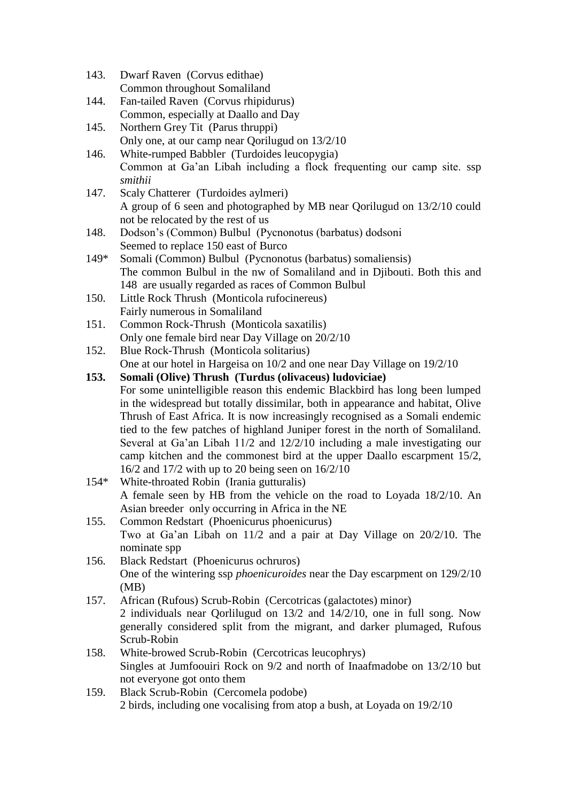- 143. Dwarf Raven (Corvus edithae) Common throughout Somaliland
- 144. Fan-tailed Raven (Corvus rhipidurus) Common, especially at Daallo and Day
- 145. Northern Grey Tit (Parus thruppi) Only one, at our camp near Qorilugud on 13/2/10
- 146. White-rumped Babbler (Turdoides leucopygia) Common at Ga'an Libah including a flock frequenting our camp site. ssp *smithii*
- 147. Scaly Chatterer (Turdoides aylmeri) A group of 6 seen and photographed by MB near Qorilugud on 13/2/10 could not be relocated by the rest of us
- 148. Dodson's (Common) Bulbul (Pycnonotus (barbatus) dodsoni Seemed to replace 150 east of Burco
- 149\* Somali (Common) Bulbul (Pycnonotus (barbatus) somaliensis) The common Bulbul in the nw of Somaliland and in Djibouti. Both this and 148 are usually regarded as races of Common Bulbul
- 150. Little Rock Thrush (Monticola rufocinereus) Fairly numerous in Somaliland
- 151. Common Rock-Thrush (Monticola saxatilis) Only one female bird near Day Village on 20/2/10
- 152. Blue Rock-Thrush (Monticola solitarius) One at our hotel in Hargeisa on 10/2 and one near Day Village on 19/2/10
- **153. Somali (Olive) Thrush (Turdus (olivaceus) ludoviciae)** For some unintelligible reason this endemic Blackbird has long been lumped in the widespread but totally dissimilar, both in appearance and habitat, Olive Thrush of East Africa. It is now increasingly recognised as a Somali endemic tied to the few patches of highland Juniper forest in the north of Somaliland. Several at Ga'an Libah 11/2 and 12/2/10 including a male investigating our camp kitchen and the commonest bird at the upper Daallo escarpment 15/2, 16/2 and 17/2 with up to 20 being seen on 16/2/10
- 154\* White-throated Robin (Irania gutturalis) A female seen by HB from the vehicle on the road to Loyada 18/2/10. An Asian breeder only occurring in Africa in the NE
- 155. Common Redstart (Phoenicurus phoenicurus) Two at Ga'an Libah on 11/2 and a pair at Day Village on 20/2/10. The nominate spp
- 156. Black Redstart (Phoenicurus ochruros) One of the wintering ssp *phoenicuroides* near the Day escarpment on 129/2/10 (MB)
- 157. African (Rufous) Scrub-Robin (Cercotricas (galactotes) minor) 2 individuals near Qorlilugud on 13/2 and 14/2/10, one in full song. Now generally considered split from the migrant, and darker plumaged, Rufous Scrub-Robin
- 158. White-browed Scrub-Robin (Cercotricas leucophrys) Singles at Jumfoouiri Rock on 9/2 and north of Inaafmadobe on 13/2/10 but not everyone got onto them
- 159. Black Scrub-Robin (Cercomela podobe) 2 birds, including one vocalising from atop a bush, at Loyada on 19/2/10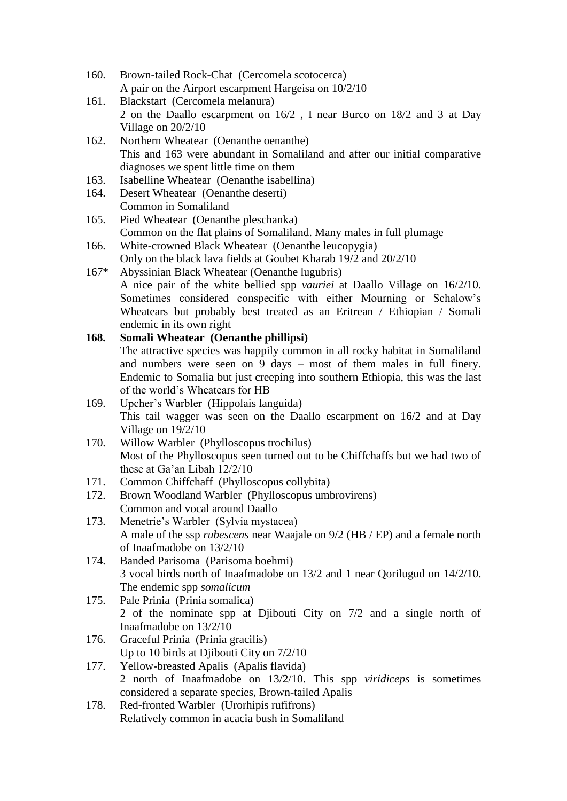- 160. Brown-tailed Rock-Chat (Cercomela scotocerca) A pair on the Airport escarpment Hargeisa on 10/2/10
- 161. Blackstart (Cercomela melanura) 2 on the Daallo escarpment on 16/2 , I near Burco on 18/2 and 3 at Day Village on 20/2/10
- 162. Northern Wheatear (Oenanthe oenanthe) This and 163 were abundant in Somaliland and after our initial comparative diagnoses we spent little time on them
- 163. Isabelline Wheatear (Oenanthe isabellina)
- 164. Desert Wheatear (Oenanthe deserti) Common in Somaliland
- 165. Pied Wheatear (Oenanthe pleschanka) Common on the flat plains of Somaliland. Many males in full plumage
- 166. White-crowned Black Wheatear (Oenanthe leucopygia) Only on the black lava fields at Goubet Kharab 19/2 and 20/2/10
- 167\* Abyssinian Black Wheatear (Oenanthe lugubris) A nice pair of the white bellied spp *vauriei* at Daallo Village on 16/2/10. Sometimes considered conspecific with either Mourning or Schalow's Wheatears but probably best treated as an Eritrean / Ethiopian / Somali endemic in its own right

## **168. Somali Wheatear (Oenanthe phillipsi)**

The attractive species was happily common in all rocky habitat in Somaliland and numbers were seen on 9 days – most of them males in full finery. Endemic to Somalia but just creeping into southern Ethiopia, this was the last of the world's Wheatears for HB

- 169. Upcher's Warbler (Hippolais languida) This tail wagger was seen on the Daallo escarpment on 16/2 and at Day Village on 19/2/10
- 170. Willow Warbler (Phylloscopus trochilus) Most of the Phylloscopus seen turned out to be Chiffchaffs but we had two of these at Ga'an Libah 12/2/10
- 171. Common Chiffchaff (Phylloscopus collybita)
- 172. Brown Woodland Warbler (Phylloscopus umbrovirens) Common and vocal around Daallo
- 173. Menetrie's Warbler (Sylvia mystacea) A male of the ssp *rubescens* near Waajale on 9/2 (HB / EP) and a female north of Inaafmadobe on 13/2/10
- 174. Banded Parisoma (Parisoma boehmi) 3 vocal birds north of Inaafmadobe on 13/2 and 1 near Qorilugud on 14/2/10. The endemic spp *somalicum*
- 175. Pale Prinia (Prinia somalica) 2 of the nominate spp at Djibouti City on 7/2 and a single north of Inaafmadobe on 13/2/10
- 176. Graceful Prinia (Prinia gracilis) Up to 10 birds at Djibouti City on 7/2/10
- 177. Yellow-breasted Apalis (Apalis flavida) 2 north of Inaafmadobe on 13/2/10. This spp *viridiceps* is sometimes considered a separate species, Brown-tailed Apalis
- 178. Red-fronted Warbler (Urorhipis rufifrons) Relatively common in acacia bush in Somaliland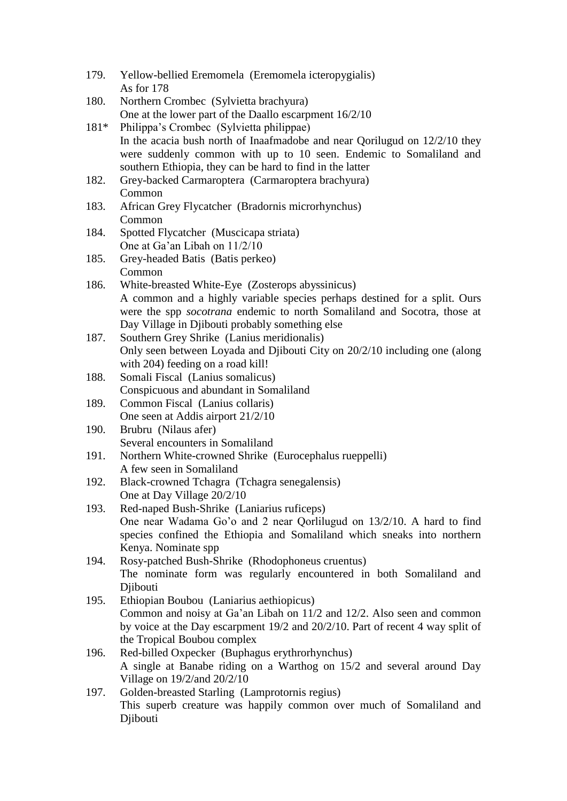- 179. Yellow-bellied Eremomela (Eremomela icteropygialis) As for 178
- 180. Northern Crombec (Sylvietta brachyura) One at the lower part of the Daallo escarpment 16/2/10
- 181\* Philippa's Crombec (Sylvietta philippae) In the acacia bush north of Inaafmadobe and near Qorilugud on 12/2/10 they were suddenly common with up to 10 seen. Endemic to Somaliland and southern Ethiopia, they can be hard to find in the latter
- 182. Grey-backed Carmaroptera (Carmaroptera brachyura) Common
- 183. African Grey Flycatcher (Bradornis microrhynchus) Common
- 184. Spotted Flycatcher (Muscicapa striata) One at Ga'an Libah on 11/2/10
- 185. Grey-headed Batis (Batis perkeo) Common
- 186. White-breasted White-Eye (Zosterops abyssinicus) A common and a highly variable species perhaps destined for a split. Ours were the spp *socotrana* endemic to north Somaliland and Socotra, those at Day Village in Djibouti probably something else
- 187. Southern Grey Shrike (Lanius meridionalis) Only seen between Loyada and Djibouti City on 20/2/10 including one (along with 204) feeding on a road kill!
- 188. Somali Fiscal (Lanius somalicus) Conspicuous and abundant in Somaliland
- 189. Common Fiscal (Lanius collaris) One seen at Addis airport 21/2/10
- 190. Brubru (Nilaus afer) Several encounters in Somaliland
- 191. Northern White-crowned Shrike (Eurocephalus rueppelli) A few seen in Somaliland
- 192. Black-crowned Tchagra (Tchagra senegalensis) One at Day Village 20/2/10
- 193. Red-naped Bush-Shrike (Laniarius ruficeps) One near Wadama Go'o and 2 near Qorlilugud on 13/2/10. A hard to find species confined the Ethiopia and Somaliland which sneaks into northern Kenya. Nominate spp
- 194. Rosy-patched Bush-Shrike (Rhodophoneus cruentus) The nominate form was regularly encountered in both Somaliland and **Diibouti**
- 195. Ethiopian Boubou (Laniarius aethiopicus) Common and noisy at Ga'an Libah on 11/2 and 12/2. Also seen and common by voice at the Day escarpment 19/2 and 20/2/10. Part of recent 4 way split of the Tropical Boubou complex
- 196. Red-billed Oxpecker (Buphagus erythrorhynchus) A single at Banabe riding on a Warthog on 15/2 and several around Day Village on 19/2/and 20/2/10
- 197. Golden-breasted Starling (Lamprotornis regius) This superb creature was happily common over much of Somaliland and Djibouti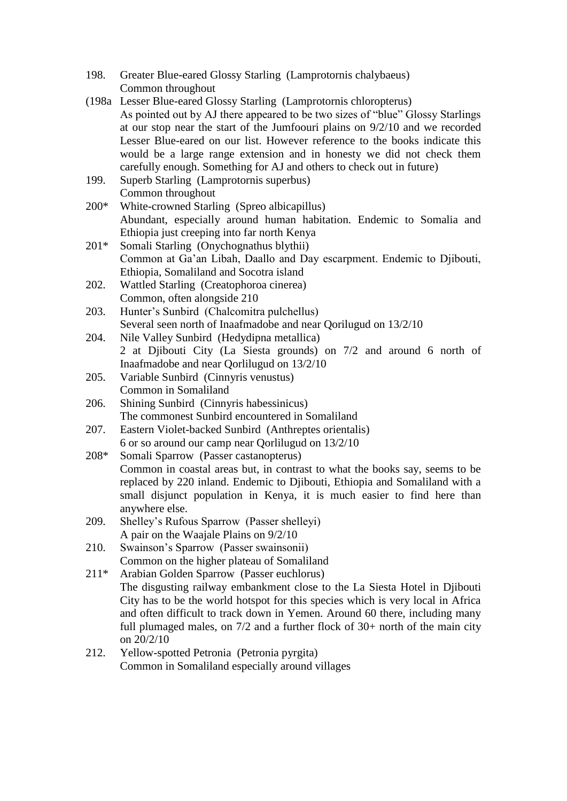- 198. Greater Blue-eared Glossy Starling (Lamprotornis chalybaeus) Common throughout
- (198a Lesser Blue-eared Glossy Starling (Lamprotornis chloropterus) As pointed out by AJ there appeared to be two sizes of "blue" Glossy Starlings at our stop near the start of the Jumfoouri plains on 9/2/10 and we recorded Lesser Blue-eared on our list. However reference to the books indicate this would be a large range extension and in honesty we did not check them carefully enough. Something for AJ and others to check out in future)
- 199. Superb Starling (Lamprotornis superbus) Common throughout
- 200\* White-crowned Starling (Spreo albicapillus) Abundant, especially around human habitation. Endemic to Somalia and Ethiopia just creeping into far north Kenya
- 201\* Somali Starling (Onychognathus blythii) Common at Ga'an Libah, Daallo and Day escarpment. Endemic to Djibouti, Ethiopia, Somaliland and Socotra island
- 202. Wattled Starling (Creatophoroa cinerea) Common, often alongside 210
- 203. Hunter's Sunbird (Chalcomitra pulchellus) Several seen north of Inaafmadobe and near Qorilugud on 13/2/10
- 204. Nile Valley Sunbird (Hedydipna metallica) 2 at Djibouti City (La Siesta grounds) on 7/2 and around 6 north of Inaafmadobe and near Qorlilugud on 13/2/10
- 205. Variable Sunbird (Cinnyris venustus) Common in Somaliland
- 206. Shining Sunbird (Cinnyris habessinicus) The commonest Sunbird encountered in Somaliland
- 207. Eastern Violet-backed Sunbird (Anthreptes orientalis) 6 or so around our camp near Qorlilugud on 13/2/10
- 208\* Somali Sparrow (Passer castanopterus)

Common in coastal areas but, in contrast to what the books say, seems to be replaced by 220 inland. Endemic to Djibouti, Ethiopia and Somaliland with a small disjunct population in Kenya, it is much easier to find here than anywhere else.

- 209. Shelley's Rufous Sparrow (Passer shelleyi) A pair on the Waajale Plains on 9/2/10
- 210. Swainson's Sparrow (Passer swainsonii) Common on the higher plateau of Somaliland
- 211\* Arabian Golden Sparrow (Passer euchlorus) The disgusting railway embankment close to the La Siesta Hotel in Djibouti City has to be the world hotspot for this species which is very local in Africa and often difficult to track down in Yemen. Around 60 there, including many full plumaged males, on 7/2 and a further flock of 30+ north of the main city on 20/2/10
- 212. Yellow-spotted Petronia (Petronia pyrgita) Common in Somaliland especially around villages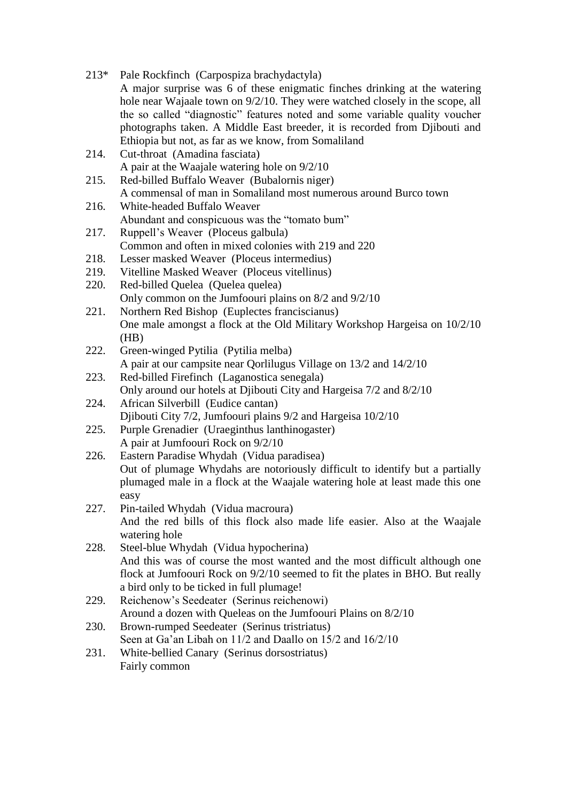| $213*$ | Pale Rockfinch (Carpospiza brachydactyla)<br>A major surprise was 6 of these enigmatic finches drinking at the watering                                     |
|--------|-------------------------------------------------------------------------------------------------------------------------------------------------------------|
|        | hole near Wajaale town on 9/2/10. They were watched closely in the scope, all                                                                               |
|        | the so called "diagnostic" features noted and some variable quality voucher                                                                                 |
|        | photographs taken. A Middle East breeder, it is recorded from Djibouti and                                                                                  |
|        | Ethiopia but not, as far as we know, from Somaliland                                                                                                        |
| 214.   | Cut-throat (Amadina fasciata)                                                                                                                               |
|        | A pair at the Waajale watering hole on $9/2/10$                                                                                                             |
| 215.   | Red-billed Buffalo Weaver (Bubalornis niger)                                                                                                                |
|        | A commensal of man in Somaliland most numerous around Burco town                                                                                            |
| 216.   | White-headed Buffalo Weaver<br>Abundant and conspicuous was the "tomato bum"                                                                                |
| 217.   | Ruppell's Weaver (Ploceus galbula)                                                                                                                          |
|        | Common and often in mixed colonies with 219 and 220                                                                                                         |
| 218.   | Lesser masked Weaver (Ploceus intermedius)                                                                                                                  |
| 219.   | Vitelline Masked Weaver (Ploceus vitellinus)                                                                                                                |
| 220.   | Red-billed Quelea (Quelea quelea)                                                                                                                           |
|        | Only common on the Jumfoouri plains on 8/2 and 9/2/10                                                                                                       |
| 221.   | Northern Red Bishop (Euplectes franciscianus)                                                                                                               |
|        | One male amongst a flock at the Old Military Workshop Hargeisa on 10/2/10                                                                                   |
| 222.   | (HB)<br>Green-winged Pytilia (Pytilia melba)                                                                                                                |
|        | A pair at our campsite near Qorlilugus Village on 13/2 and 14/2/10                                                                                          |
| 223.   | Red-billed Firefinch (Laganostica senegala)                                                                                                                 |
|        | Only around our hotels at Djibouti City and Hargeisa 7/2 and 8/2/10                                                                                         |
| 224.   | African Silverbill (Eudice cantan)                                                                                                                          |
|        | Djibouti City 7/2, Jumfoouri plains 9/2 and Hargeisa 10/2/10                                                                                                |
| 225.   | Purple Grenadier (Uraeginthus lanthinogaster)                                                                                                               |
| 226.   | A pair at Jumfoouri Rock on 9/2/10                                                                                                                          |
|        | Eastern Paradise Whydah (Vidua paradisea)<br>Out of plumage Whydahs are notoriously difficult to identify but a partially                                   |
|        | plumaged male in a flock at the Waajale watering hole at least made this one                                                                                |
|        | easy                                                                                                                                                        |
| 227.   | Pin-tailed Whydah (Vidua macroura)                                                                                                                          |
|        | And the red bills of this flock also made life easier. Also at the Waajale                                                                                  |
|        | watering hole                                                                                                                                               |
| 228.   | Steel-blue Whydah (Vidua hypocherina)                                                                                                                       |
|        | And this was of course the most wanted and the most difficult although one<br>flock at Jumfoouri Rock on 9/2/10 seemed to fit the plates in BHO. But really |
|        | a bird only to be ticked in full plumage!                                                                                                                   |
| 229.   | Reichenow's Seedeater (Serinus reichenowi)                                                                                                                  |
|        | Around a dozen with Queleas on the Jumfoouri Plains on 8/2/10                                                                                               |
| 230.   | Brown-rumped Seedeater (Serinus tristriatus)                                                                                                                |
|        | Seen at Ga'an Libah on 11/2 and Daallo on 15/2 and 16/2/10                                                                                                  |
| 231.   | White-bellied Canary (Serinus dorsostriatus)                                                                                                                |
|        | Fairly common                                                                                                                                               |
|        |                                                                                                                                                             |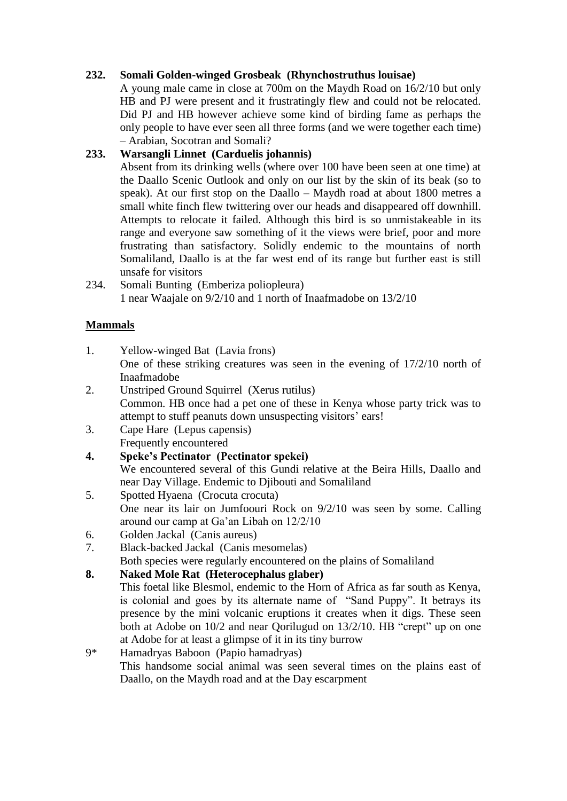# **232. Somali Golden-winged Grosbeak (Rhynchostruthus louisae)**

A young male came in close at 700m on the Maydh Road on 16/2/10 but only HB and PJ were present and it frustratingly flew and could not be relocated. Did PJ and HB however achieve some kind of birding fame as perhaps the only people to have ever seen all three forms (and we were together each time) – Arabian, Socotran and Somali?

# **233. Warsangli Linnet (Carduelis johannis)**

Absent from its drinking wells (where over 100 have been seen at one time) at the Daallo Scenic Outlook and only on our list by the skin of its beak (so to speak). At our first stop on the Daallo – Maydh road at about 1800 metres a small white finch flew twittering over our heads and disappeared off downhill. Attempts to relocate it failed. Although this bird is so unmistakeable in its range and everyone saw something of it the views were brief, poor and more frustrating than satisfactory. Solidly endemic to the mountains of north Somaliland, Daallo is at the far west end of its range but further east is still unsafe for visitors

234. Somali Bunting (Emberiza poliopleura) 1 near Waajale on 9/2/10 and 1 north of Inaafmadobe on 13/2/10

# **Mammals**

- 1. Yellow-winged Bat (Lavia frons) One of these striking creatures was seen in the evening of 17/2/10 north of Inaafmadobe
- 2. Unstriped Ground Squirrel (Xerus rutilus) Common. HB once had a pet one of these in Kenya whose party trick was to attempt to stuff peanuts down unsuspecting visitors' ears!
- 3. Cape Hare (Lepus capensis) Frequently encountered
- **4. Speke's Pectinator (Pectinator spekei)**
	- We encountered several of this Gundi relative at the Beira Hills, Daallo and near Day Village. Endemic to Djibouti and Somaliland
- 5. Spotted Hyaena (Crocuta crocuta) One near its lair on Jumfoouri Rock on 9/2/10 was seen by some. Calling around our camp at Ga'an Libah on 12/2/10
- 6. Golden Jackal (Canis aureus)
- 7. Black-backed Jackal (Canis mesomelas)

Both species were regularly encountered on the plains of Somaliland

## **8. Naked Mole Rat (Heterocephalus glaber)**

This foetal like Blesmol, endemic to the Horn of Africa as far south as Kenya, is colonial and goes by its alternate name of "Sand Puppy". It betrays its presence by the mini volcanic eruptions it creates when it digs. These seen both at Adobe on 10/2 and near Qorilugud on 13/2/10. HB "crept" up on one at Adobe for at least a glimpse of it in its tiny burrow

9\* Hamadryas Baboon (Papio hamadryas) This handsome social animal was seen several times on the plains east of Daallo, on the Maydh road and at the Day escarpment